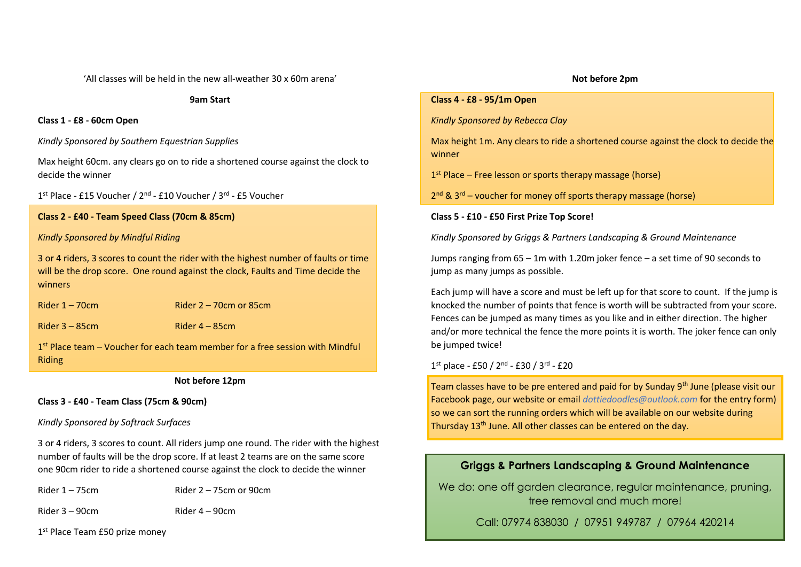'All classes will be held in the new all-weather 30 x 60m arena'

**9am Start**

#### **Class 1 - £8 - 60cm Open**

*Kindly Sponsored by Southern Equestrian Supplies*

Max height 60cm. any clears go on to ride a shortened course against the clock to decide the winner

1<sup>st</sup> Place - £15 Voucher / 2<sup>nd</sup> - £10 Voucher / 3<sup>rd</sup> - £5 Voucher

#### **Class 2 - £40 - Team Speed Class (70cm & 85cm)**

#### *Kindly Sponsored by Mindful Riding*

3 or 4 riders, 3 scores to count the rider with the highest number of faults or time will be the drop score. One round against the clock, Faults and Time decide the winners

Rider 1 – 70cm Rider 2 – 70cm or 85cm

 $Rider 3 - 85cm$  Rider  $4 - 85cm$ 

1<sup>st</sup> Place team – Voucher for each team member for a free session with Mindful Riding

**Not before 12pm**

#### **Class 3 - £40 - Team Class (75cm & 90cm)**

#### *Kindly Sponsored by Softrack Surfaces*

3 or 4 riders, 3 scores to count. All riders jump one round. The rider with the highest number of faults will be the drop score. If at least 2 teams are on the same score one 90cm rider to ride a shortened course against the clock to decide the winner

Rider  $1 - 75$ cm Rider  $2 - 75$ cm or  $90$ cm

Rider 3 – 90cm Rider 4 – 90cm

1st Place Team £50 prize money

#### **Not before 2pm**

#### **Class 4 - £8 - 95/1m Open**

*Kindly Sponsored by Rebecca Clay*

Max height 1m. Any clears to ride a shortened course against the clock to decide the winner

1 st Place – Free lesson or sports therapy massage (horse)

2<sup>nd</sup> & 3<sup>rd</sup> – voucher for money off sports therapy massage (horse)

#### **Class 5 - £10 - £50 First Prize Top Score!**

*Kindly Sponsored by Griggs & Partners Landscaping & Ground Maintenance* 

Jumps ranging from 65 – 1m with 1.20m joker fence – a set time of 90 seconds to jump as many jumps as possible.

Each jump will have a score and must be left up for that score to count. If the jump is knocked the number of points that fence is worth will be subtracted from your score. Fences can be jumped as many times as you like and in either direction. The higher and/or more technical the fence the more points it is worth. The joker fence can only be jumped twice!

1<sup>st</sup> place - £50 / 2<sup>nd</sup> - £30 / 3<sup>rd</sup> - £20

Team classes have to be pre entered and paid for by Sunday 9<sup>th</sup> June (please visit our Facebook page, our website or email *[dottiedoodles@outlook.com](mailto:dottiedoodles@outlook.com)* for the entry form) so we can sort the running orders which will be available on our website during Thursday 13<sup>th</sup> June. All other classes can be entered on the day.

#### **Griggs & Partners Landscaping & Ground Maintenance**

We do: one off garden clearance, regular maintenance, pruning, tree removal and much more!

Call: 07974 838030 / 07951 949787 / 07964 420214